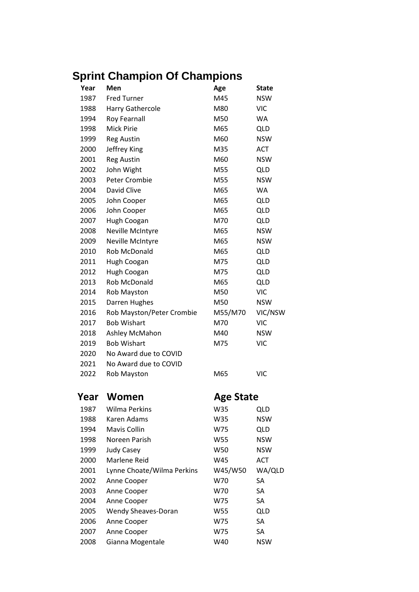## **Sprint Champion Of Champions**

| Year | Men                        | Age              | <b>State</b> |
|------|----------------------------|------------------|--------------|
| 1987 | <b>Fred Turner</b>         | M45              | <b>NSW</b>   |
| 1988 | Harry Gathercole           | M80              | <b>VIC</b>   |
| 1994 | Roy Fearnall               | M50              | WA           |
| 1998 | <b>Mick Pirie</b>          | M65              | <b>QLD</b>   |
| 1999 | <b>Reg Austin</b>          | M60              | <b>NSW</b>   |
| 2000 | Jeffrey King               | M35              | ACT          |
| 2001 | <b>Reg Austin</b>          | M60              | <b>NSW</b>   |
| 2002 | John Wight                 | M55              | QLD          |
| 2003 | <b>Peter Crombie</b>       | M55              | <b>NSW</b>   |
| 2004 | David Clive                | M65              | <b>WA</b>    |
| 2005 | John Cooper                | M65              | <b>QLD</b>   |
| 2006 | John Cooper                | M65              | <b>QLD</b>   |
| 2007 | Hugh Coogan                | M70              | <b>QLD</b>   |
| 2008 | Neville McIntyre           | M65              | <b>NSW</b>   |
| 2009 | Neville McIntyre           | M65              | <b>NSW</b>   |
| 2010 | Rob McDonald               | M65              | <b>QLD</b>   |
| 2011 | Hugh Coogan                | M75              | <b>QLD</b>   |
| 2012 | Hugh Coogan                | M75              | <b>QLD</b>   |
| 2013 | Rob McDonald               | M65              | <b>QLD</b>   |
| 2014 | <b>Rob Mayston</b>         | M50              | <b>VIC</b>   |
| 2015 | Darren Hughes              | M50              | <b>NSW</b>   |
| 2016 | Rob Mayston/Peter Crombie  | M55/M70          | VIC/NSW      |
| 2017 | <b>Bob Wishart</b>         | M70              | <b>VIC</b>   |
| 2018 | Ashley McMahon             | M40              | <b>NSW</b>   |
| 2019 | <b>Bob Wishart</b>         | M75              | <b>VIC</b>   |
| 2020 | No Award due to COVID      |                  |              |
| 2021 | No Award due to COVID      |                  |              |
| 2022 | Rob Mayston                | M65              | <b>VIC</b>   |
| Year | Women                      | <b>Age State</b> |              |
| 1987 | Wilma Perkins              | W35              | <b>QLD</b>   |
| 1988 | Karen Adams                | W35              | <b>NSW</b>   |
| 1994 | Mavis Collin               | W75              | QLD          |
| 1998 | Noreen Parish              | W55              | NSW          |
| 1999 | <b>Judy Casey</b>          | W50              | <b>NSW</b>   |
| 2000 | <b>Marlene Reid</b>        | W45              | <b>ACT</b>   |
| 2001 | Lynne Choate/Wilma Perkins | W45/W50          | WA/QLD       |
| 2002 | Anne Cooper                | W70              | SA           |
| 2003 | Anne Cooper                | W70              | SA           |
| 2004 | Anne Cooper                | W75              | SA           |
| 2005 | Wendy Sheaves-Doran        | W55              | <b>QLD</b>   |
| 2006 | Anne Cooper                | W75              | SA           |
| 2007 | Anne Cooper                | W75              | SA           |
| 2008 | Gianna Mogentale           | W40              | <b>NSW</b>   |
|      |                            |                  |              |